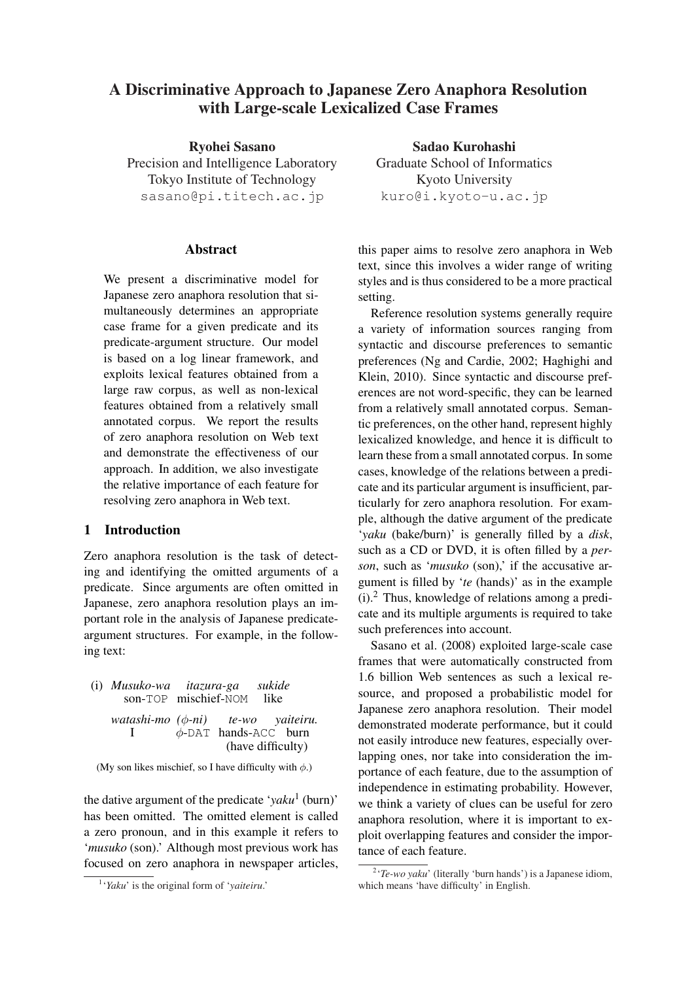# A Discriminative Approach to Japanese Zero Anaphora Resolution with Large-scale Lexicalized Case Frames

Ryohei Sasano Precision and Intelligence Laboratory Tokyo Institute of Technology sasano@pi.titech.ac.jp

# Abstract

We present a discriminative model for Japanese zero anaphora resolution that simultaneously determines an appropriate case frame for a given predicate and its predicate-argument structure. Our model is based on a log linear framework, and exploits lexical features obtained from a large raw corpus, as well as non-lexical features obtained from a relatively small annotated corpus. We report the results of zero anaphora resolution on Web text and demonstrate the effectiveness of our approach. In addition, we also investigate the relative importance of each feature for resolving zero anaphora in Web text.

# 1 Introduction

Zero anaphora resolution is the task of detecting and identifying the omitted arguments of a predicate. Since arguments are often omitted in Japanese, zero anaphora resolution plays an important role in the analysis of Japanese predicateargument structures. For example, in the following text:

| (i) Musuko-wa itazura-ga sukide<br>son-TOP mischief-NOM like |  |                                                 |  |
|--------------------------------------------------------------|--|-------------------------------------------------|--|
| watashi-mo $(\phi$ -ni) te-wo yaiteiru.                      |  | $\phi$ -DAT hands-ACC burn<br>(have difficulty) |  |

(My son likes mischief, so I have difficulty with  $\phi$ .)

the dative argument of the predicate '*yaku*<sup>1</sup> (burn)' has been omitted. The omitted element is called a zero pronoun, and in this example it refers to '*musuko* (son).' Although most previous work has focused on zero anaphora in newspaper articles,

Sadao Kurohashi Graduate School of Informatics Kyoto University kuro@i.kyoto-u.ac.jp

this paper aims to resolve zero anaphora in Web text, since this involves a wider range of writing styles and is thus considered to be a more practical setting.

Reference resolution systems generally require a variety of information sources ranging from syntactic and discourse preferences to semantic preferences (Ng and Cardie, 2002; Haghighi and Klein, 2010). Since syntactic and discourse preferences are not word-specific, they can be learned from a relatively small annotated corpus. Semantic preferences, on the other hand, represent highly lexicalized knowledge, and hence it is difficult to learn these from a small annotated corpus. In some cases, knowledge of the relations between a predicate and its particular argument is insufficient, particularly for zero anaphora resolution. For example, although the dative argument of the predicate '*yaku* (bake/burn)' is generally filled by a *disk*, such as a CD or DVD, it is often filled by a *per*son, such as 'musuko (son),' if the accusative argument is filled by '*te* (hands)' as in the example (i).<sup>2</sup> Thus, knowledge of relations among a predicate and its multiple arguments is required to take such preferences into account.

Sasano et al. (2008) exploited large-scale case frames that were automatically constructed from 1.6 billion Web sentences as such a lexical resource, and proposed a probabilistic model for Japanese zero anaphora resolution. Their model demonstrated moderate performance, but it could not easily introduce new features, especially overlapping ones, nor take into consideration the importance of each feature, due to the assumption of independence in estimating probability. However, we think a variety of clues can be useful for zero anaphora resolution, where it is important to exploit overlapping features and consider the importance of each feature.

<sup>1</sup> '*Yaku*' is the original form of '*yaiteiru*.'

<sup>&</sup>lt;sup>2</sup>'*Te-wo yaku*' (literally 'burn hands') is a Japanese idiom, which means 'have difficulty' in English.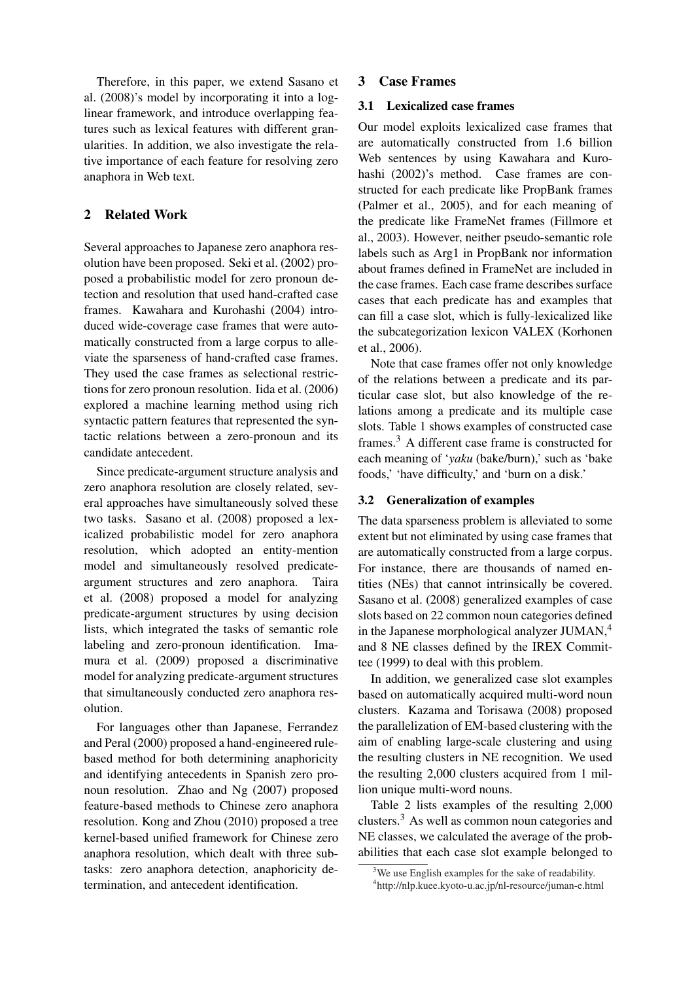Therefore, in this paper, we extend Sasano et al. (2008)'s model by incorporating it into a loglinear framework, and introduce overlapping features such as lexical features with different granularities. In addition, we also investigate the relative importance of each feature for resolving zero anaphora in Web text.

# 2 Related Work

Several approaches to Japanese zero anaphora resolution have been proposed. Seki et al. (2002) proposed a probabilistic model for zero pronoun detection and resolution that used hand-crafted case frames. Kawahara and Kurohashi (2004) introduced wide-coverage case frames that were automatically constructed from a large corpus to alleviate the sparseness of hand-crafted case frames. They used the case frames as selectional restrictions for zero pronoun resolution. Iida et al. (2006) explored a machine learning method using rich syntactic pattern features that represented the syntactic relations between a zero-pronoun and its candidate antecedent.

Since predicate-argument structure analysis and zero anaphora resolution are closely related, several approaches have simultaneously solved these two tasks. Sasano et al. (2008) proposed a lexicalized probabilistic model for zero anaphora resolution, which adopted an entity-mention model and simultaneously resolved predicateargument structures and zero anaphora. Taira et al. (2008) proposed a model for analyzing predicate-argument structures by using decision lists, which integrated the tasks of semantic role labeling and zero-pronoun identification. Imamura et al. (2009) proposed a discriminative model for analyzing predicate-argument structures that simultaneously conducted zero anaphora resolution.

For languages other than Japanese, Ferrandez and Peral (2000) proposed a hand-engineered rulebased method for both determining anaphoricity and identifying antecedents in Spanish zero pronoun resolution. Zhao and Ng (2007) proposed feature-based methods to Chinese zero anaphora resolution. Kong and Zhou (2010) proposed a tree kernel-based unified framework for Chinese zero anaphora resolution, which dealt with three subtasks: zero anaphora detection, anaphoricity determination, and antecedent identification.

### 3 Case Frames

# 3.1 Lexicalized case frames

Our model exploits lexicalized case frames that are automatically constructed from 1.6 billion Web sentences by using Kawahara and Kurohashi (2002)'s method. Case frames are constructed for each predicate like PropBank frames (Palmer et al., 2005), and for each meaning of the predicate like FrameNet frames (Fillmore et al., 2003). However, neither pseudo-semantic role labels such as Arg1 in PropBank nor information about frames defined in FrameNet are included in the case frames. Each case frame describes surface cases that each predicate has and examples that can fill a case slot, which is fully-lexicalized like the subcategorization lexicon VALEX (Korhonen et al., 2006).

Note that case frames offer not only knowledge of the relations between a predicate and its particular case slot, but also knowledge of the relations among a predicate and its multiple case slots. Table 1 shows examples of constructed case frames.<sup>3</sup> A different case frame is constructed for each meaning of '*yaku* (bake/burn),' such as 'bake foods,' 'have difficulty,' and 'burn on a disk.'

#### 3.2 Generalization of examples

The data sparseness problem is alleviated to some extent but not eliminated by using case frames that are automatically constructed from a large corpus. For instance, there are thousands of named entities (NEs) that cannot intrinsically be covered. Sasano et al. (2008) generalized examples of case slots based on 22 common noun categories defined in the Japanese morphological analyzer JUMAN,<sup>4</sup> and 8 NE classes defined by the IREX Committee (1999) to deal with this problem.

In addition, we generalized case slot examples based on automatically acquired multi-word noun clusters. Kazama and Torisawa (2008) proposed the parallelization of EM-based clustering with the aim of enabling large-scale clustering and using the resulting clusters in NE recognition. We used the resulting 2,000 clusters acquired from 1 million unique multi-word nouns.

Table 2 lists examples of the resulting 2,000 clusters.<sup>3</sup> As well as common noun categories and NE classes, we calculated the average of the probabilities that each case slot example belonged to

<sup>&</sup>lt;sup>3</sup>We use English examples for the sake of readability.

<sup>4</sup> http://nlp.kuee.kyoto-u.ac.jp/nl-resource/juman-e.html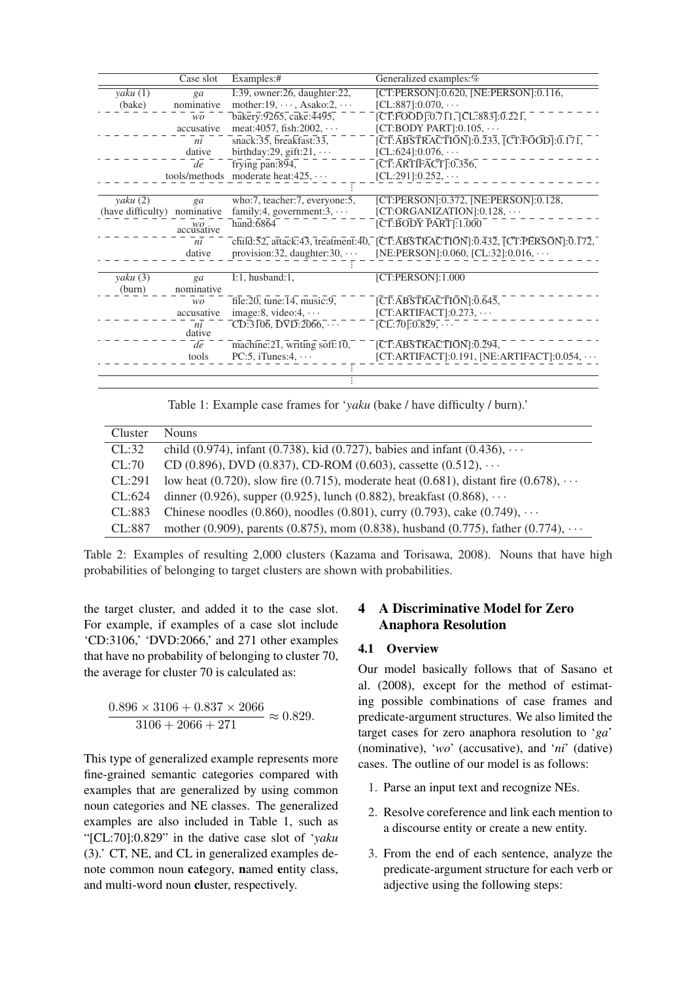|                      | Case slot                                           | Examples:#                                                     | Generalized examples:%                                                                                                                                                                                                                                                                                                                         |
|----------------------|-----------------------------------------------------|----------------------------------------------------------------|------------------------------------------------------------------------------------------------------------------------------------------------------------------------------------------------------------------------------------------------------------------------------------------------------------------------------------------------|
| yaku(1)              | ga                                                  | I:39, owner:26, daughter:22,                                   | [CT:PERSON]:0.620, [NE:PERSON]:0.116,                                                                                                                                                                                                                                                                                                          |
| nominative<br>(bake) |                                                     | mother: $19, \dots,$ Asako: $2, \dots$                         | $[CL:887]:0.070, \cdots$                                                                                                                                                                                                                                                                                                                       |
|                      | WO.                                                 | bakery: 9265, cake: 4495,                                      | $[\overline{C}\overline{T}:\overline{FO}\overline{O}\overline{D}]\overline{.}0.71\overline{1}$ , $[\overline{C}L:\overline{8}\overline{8}3]\overline{.}0.22\overline{1}$ ,                                                                                                                                                                     |
|                      | accusative                                          | meat:4057, fish:2002, $\cdots$                                 | [CT:BODY PART]: $0.105, \cdots$                                                                                                                                                                                                                                                                                                                |
|                      | ni                                                  | snack: $35$ , breakfast: $33$ ,                                | $[\overline{C}\overline{T}:\overline{A} \overline{B} \overline{S} \overline{T} \overline{R} \overline{A} \overline{C} \overline{T} \overline{I} \overline{O} \overline{N}]; \overline{0}.\overline{2}3\overline{3}, \overline{[} \overline{C} \overline{T}:\overline{F} \overline{O} \overline{O} \overline{D}]; \overline{0}.\overline{17}1,$ |
|                      | dative                                              | birthday:29, gift:21, $\cdots$                                 | $[CL:624]:0.076, \cdots$                                                                                                                                                                                                                                                                                                                       |
|                      | de                                                  | frying pan:894,                                                | $\overline{[CT:ARTIFACT]:}0.356,$                                                                                                                                                                                                                                                                                                              |
|                      |                                                     | tools/methods moderate heat: $425$ , $\cdots$                  | $[CL:291]:0.252, \cdots$                                                                                                                                                                                                                                                                                                                       |
|                      |                                                     |                                                                |                                                                                                                                                                                                                                                                                                                                                |
| yaku(2)              | ga                                                  | who:7, teacher:7, everyone:5,                                  | [CT:PERSON]:0.372, [NE:PERSON]:0.128,                                                                                                                                                                                                                                                                                                          |
| (have difficulty)    | nominative                                          | family:4, government:3, $\cdots$                               | $[CT:ORGANIZATION]: 0.128, \cdots$                                                                                                                                                                                                                                                                                                             |
|                      | $\alpha$ <sup><i>WO</i></sup> <sub>accusative</sub> | hand: $6864$                                                   | $[{\overline C} {\overline T} : {\overline{B}} {\overline{O}} {\overline D} {\overline Y}$ ${\overline{P}} {\overline{A}} {\overline{R}} {\overline{T}}] : 1.000$                                                                                                                                                                              |
|                      | ni                                                  |                                                                | $\overline{C}$ child:52, attack:43, treatment:40, $\overline{[C}\overline{T}:AB\overline{S}\overline{T}R\overline{A}\overline{C}\overline{T}I\overline{O}N]:0.432$ , $\overline{[C}\overline{T}:P\overline{E}R\overline{S}\overline{O}N]:0.172$ ,                                                                                              |
|                      | dative                                              | provision: 32, daughter: $30, \cdots$                          | [NE:PERSON]:0.060, [CL:32]:0.016, $\cdots$                                                                                                                                                                                                                                                                                                     |
|                      |                                                     |                                                                |                                                                                                                                                                                                                                                                                                                                                |
| yaku (3)             | ga                                                  | $I:1$ , husband: $1$ ,                                         | [CT:PERSON]:1.000                                                                                                                                                                                                                                                                                                                              |
| (burn)               | nominative                                          |                                                                |                                                                                                                                                                                                                                                                                                                                                |
|                      | wo.                                                 | $\overline{\text{file:20}}$ , tune: $\overline{14}$ , music:9, | [CT:ABSTRACTIONI:0.645]                                                                                                                                                                                                                                                                                                                        |
|                      | accusative                                          | image: 8, video: $4, \cdots$                                   | $[CT:ARTIFACT]:0.273, \cdots$                                                                                                                                                                                                                                                                                                                  |
|                      | ni<br>dative                                        | $CD:3106, \overline{DVD}:2066, \cdots$                         | $[CL:70]:0.829, \dots$                                                                                                                                                                                                                                                                                                                         |
|                      | de                                                  | machine: $2\overline{1}$ , writing soft: $10$ ,                | [CT:ABSTRACTION]:0.294,                                                                                                                                                                                                                                                                                                                        |
|                      | tools                                               | PC:5, iTunes: $4, \cdots$                                      | $[CT:ARTIFACT]:0.191, [NE:ARTIFACT]:0.054, \cdots$                                                                                                                                                                                                                                                                                             |
|                      |                                                     |                                                                |                                                                                                                                                                                                                                                                                                                                                |
|                      |                                                     |                                                                |                                                                                                                                                                                                                                                                                                                                                |

Table 1: Example case frames for '*yaku* (bake / have difficulty / burn).'

| Cluster | <b>Nouns</b>                                                                               |
|---------|--------------------------------------------------------------------------------------------|
| CL:32   | child (0.974), infant (0.738), kid (0.727), babies and infant (0.436), $\cdots$            |
| CL:70   | CD (0.896), DVD (0.837), CD-ROM (0.603), cassette (0.512), $\cdots$                        |
| CL:291  | low heat (0.720), slow fire (0.715), moderate heat (0.681), distant fire (0.678), $\cdots$ |
| CL:624  | dinner (0.926), supper (0.925), lunch (0.882), breakfast (0.868), $\cdots$                 |
| CL:883  | Chinese noodles (0.860), noodles (0.801), curry (0.793), cake (0.749), $\cdots$            |
| CL:887  | mother (0.909), parents (0.875), mom (0.838), husband (0.775), father (0.774), $\cdots$    |

Table 2: Examples of resulting 2,000 clusters (Kazama and Torisawa, 2008). Nouns that have high probabilities of belonging to target clusters are shown with probabilities.

the target cluster, and added it to the case slot. For example, if examples of a case slot include 'CD:3106,' 'DVD:2066,' and 271 other examples that have no probability of belonging to cluster 70, the average for cluster 70 is calculated as:

$$
\frac{0.896 \times 3106 + 0.837 \times 2066}{3106 + 2066 + 271} \approx 0.829.
$$

This type of generalized example represents more fine-grained semantic categories compared with examples that are generalized by using common noun categories and NE classes. The generalized examples are also included in Table 1, such as "[CL:70]:0.829" in the dative case slot of '*yaku* (3).' CT, NE, and CL in generalized examples denote common noun category, named entity class, and multi-word noun cluster, respectively.

# 4 A Discriminative Model for Zero Anaphora Resolution

# 4.1 Overview

Our model basically follows that of Sasano et al. (2008), except for the method of estimating possible combinations of case frames and predicate-argument structures. We also limited the target cases for zero anaphora resolution to '*ga*' (nominative), '*wo*' (accusative), and '*ni*' (dative) cases. The outline of our model is as follows:

- 1. Parse an input text and recognize NEs.
- 2. Resolve coreference and link each mention to a discourse entity or create a new entity.
- 3. From the end of each sentence, analyze the predicate-argument structure for each verb or adjective using the following steps: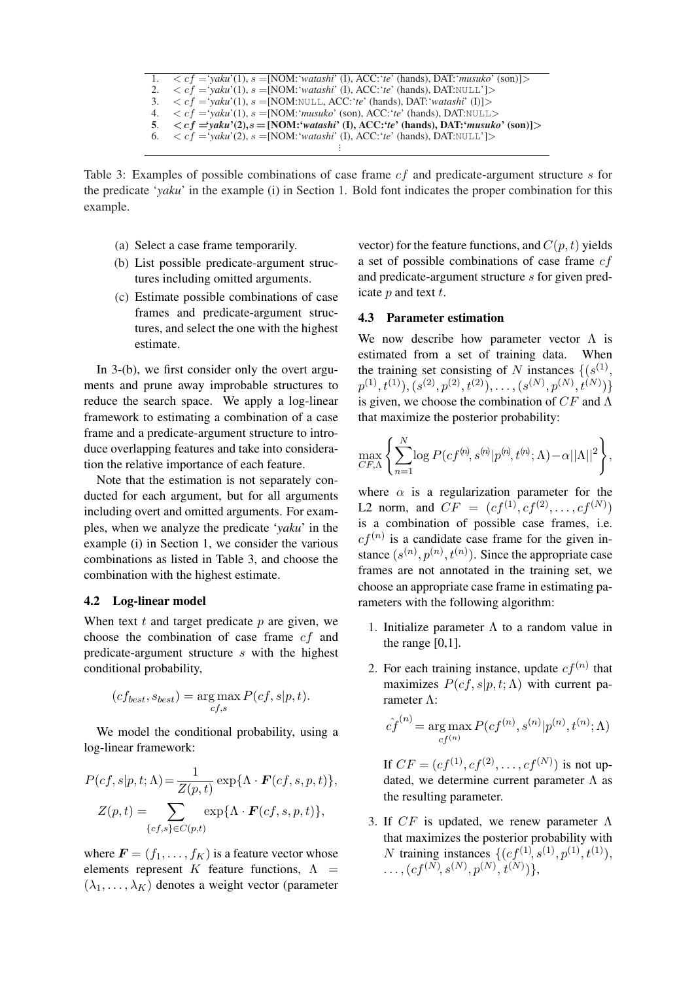|    | 1. $\langle cf = 'yaku'(1), s = [NOM]'watashi' (I), ACC]'e' (hands), DAT)'musuko' (son)] \rangle$    |
|----|------------------------------------------------------------------------------------------------------|
| 2. | $\langle cf = 'yaku'(1), s = [NOM: 'watashi' (I), ACC: 'te' (hands), DAT: NULL'] \rangle$            |
|    | 3. $\langle cf = 'vaku'(1), s = [NOM: NULL, ACC: 'te' (hands), DAT: 'watashi' (I)] \rangle$          |
|    | 4. $\langle cf = 'vaku'(1), s = [NOM': 'musuko' (son), ACC': 'te' (hands), DAT: NULL>$               |
|    | 5. $\langle cf = yaku'(2), s = [NOM: 'watashi' (I), ACC: 'te' (hands), DAT: 'musuko' (son)] \rangle$ |
|    | 6. $\langle cf = 'vaku'(2), s = [NOM]'watashi' (I), ACC''e' (hands), DAT: NULL'] \rangle$            |
|    |                                                                                                      |

Table 3: Examples of possible combinations of case frame *cf* and predicate-argument structure *s* for the predicate '*yaku*' in the example (i) in Section 1. Bold font indicates the proper combination for this example.

- (a) Select a case frame temporarily.
- (b) List possible predicate-argument structures including omitted arguments.
- (c) Estimate possible combinations of case frames and predicate-argument structures, and select the one with the highest estimate.

In 3-(b), we first consider only the overt arguments and prune away improbable structures to reduce the search space. We apply a log-linear framework to estimating a combination of a case frame and a predicate-argument structure to introduce overlapping features and take into consideration the relative importance of each feature.

Note that the estimation is not separately conducted for each argument, but for all arguments including overt and omitted arguments. For examples, when we analyze the predicate '*yaku*' in the example (i) in Section 1, we consider the various combinations as listed in Table 3, and choose the combination with the highest estimate.

#### 4.2 Log-linear model

When text *t* and target predicate *p* are given, we choose the combination of case frame *cf* and predicate-argument structure *s* with the highest conditional probability,

$$
(cf_{best}, s_{best}) = \underset{cf,s}{\arg \max} P(cf, s|p, t).
$$

We model the conditional probability, using a log-linear framework:

$$
P(cf, s|p, t; \Lambda) = \frac{1}{Z(p, t)} \exp{\{\Lambda \cdot \mathbf{F}(cf, s, p, t)\}},
$$

$$
Z(p, t) = \sum_{\{cf, s\} \in C(p, t)} \exp{\{\Lambda \cdot \mathbf{F}(cf, s, p, t)\}},
$$

where  $\mathbf{F} = (f_1, \dots, f_K)$  is a feature vector whose elements represent *K* feature functions,  $\Lambda$  =  $(\lambda_1, \ldots, \lambda_K)$  denotes a weight vector (parameter

vector) for the feature functions, and  $C(p, t)$  yields a set of possible combinations of case frame *cf* and predicate-argument structure *s* for given predicate *p* and text *t*.

# 4.3 Parameter estimation

We now describe how parameter vector  $\Lambda$  is estimated from a set of training data. When the training set consisting of *N* instances  $\{(s^{(1)},\)$  $p^{(1)}, t^{(1)}), (s^{(2)}, p^{(2)}, t^{(2)}), \ldots, (s^{(N)}, p^{(N)}, t^{(N)})\}$ is given, we choose the combination of *CF* and Λ that maximize the posterior probability:

$$
\max_{CF,\Lambda}\left\{\sum_{n=1}^N\log P(cf^{(n)},s^{(n)}|p^{(n)},t^{(n)};\Lambda)-\alpha||\Lambda||^2\right\},\,
$$

where  $\alpha$  is a regularization parameter for the L2 norm, and  $CF = (cf^{(1)}, cf^{(2)}, \ldots, cf^{(N)})$ is a combination of possible case frames, i.e.  $cf^{(n)}$  is a candidate case frame for the given instance  $(s^{(n)}, p^{(n)}, t^{(n)})$ . Since the appropriate case frames are not annotated in the training set, we choose an appropriate case frame in estimating parameters with the following algorithm:

- 1. Initialize parameter  $\Lambda$  to a random value in the range  $[0,1]$ .
- 2. For each training instance, update  $cf^{(n)}$  that maximizes  $P(cf, s|p, t; \Lambda)$  with current parameter Λ:

$$
\hat{cf}^{(n)} = \arg\max_{cf^{(n)}} P(cf^{(n)}, s^{(n)} | p^{(n)}, t^{(n)}; \Lambda)
$$

If  $CF = (cf^{(1)}, cf^{(2)}, \ldots, cf^{(N)})$  is not updated, we determine current parameter  $\Lambda$  as the resulting parameter.

3. If *CF* is updated, we renew parameter Λ that maximizes the posterior probability with *N* training instances  $\{(cf^{(1)}, s^{(1)}, p^{(1)}, t^{(1)})\}$  $\dots$ ,  $(cf^{(N)}, s^{(N)}, p^{(N)}, t^{(N)})\},$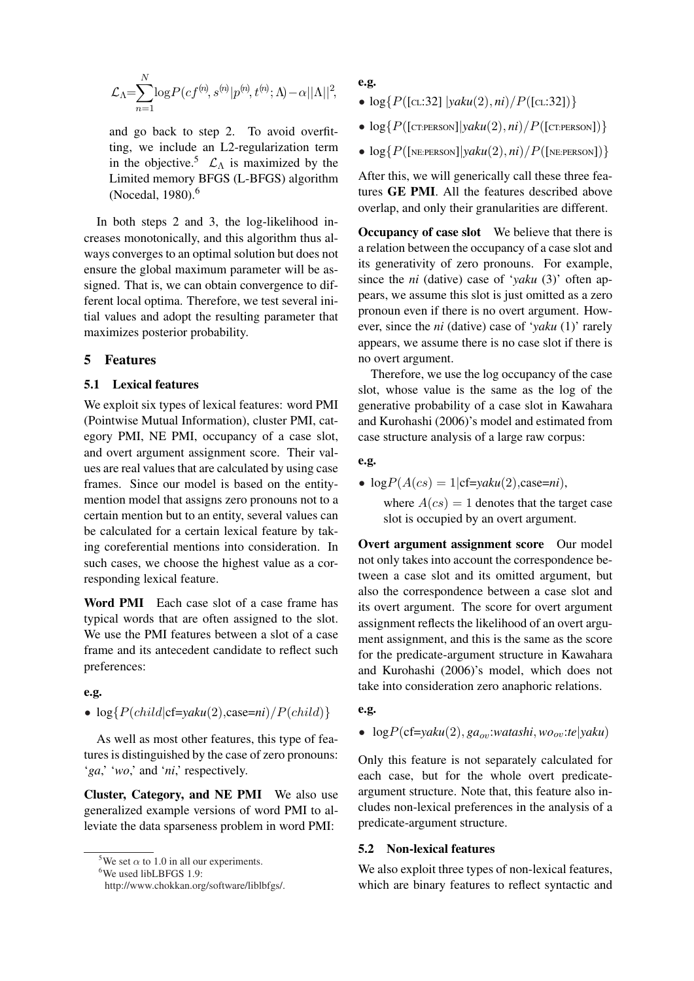$$
\mathcal{L}_{\Lambda}=\!\!\sum_{n=1}^N\!\log\!P(cf^{(n)},s^{(n)}|p^{(n)},t^{(n)};\Lambda\!)\!-\!\alpha||\Lambda||^2,
$$

and go back to step 2. To avoid overfitting, we include an L2-regularization term in the objective.<sup>5</sup>  $\mathcal{L}_{\Lambda}$  is maximized by the Limited memory BFGS (L-BFGS) algorithm (Nocedal, 1980).<sup>6</sup>

In both steps 2 and 3, the log-likelihood increases monotonically, and this algorithm thus always converges to an optimal solution but does not ensure the global maximum parameter will be assigned. That is, we can obtain convergence to different local optima. Therefore, we test several initial values and adopt the resulting parameter that maximizes posterior probability.

#### 5 Features

#### 5.1 Lexical features

We exploit six types of lexical features: word PMI (Pointwise Mutual Information), cluster PMI, category PMI, NE PMI, occupancy of a case slot, and overt argument assignment score. Their values are real values that are calculated by using case frames. Since our model is based on the entitymention model that assigns zero pronouns not to a certain mention but to an entity, several values can be calculated for a certain lexical feature by taking coreferential mentions into consideration. In such cases, we choose the highest value as a corresponding lexical feature.

Word PMI Each case slot of a case frame has typical words that are often assigned to the slot. We use the PMI features between a slot of a case frame and its antecedent candidate to reflect such preferences:

#### e.g.

### •  $\log\{P(child|\text{cf}=yaku(2),\text{case}=ni)/P(child)\}$

As well as most other features, this type of features is distinguished by the case of zero pronouns: '*ga*,' '*wo*,' and '*ni*,' respectively.

Cluster, Category, and NE PMI We also use generalized example versions of word PMI to alleviate the data sparseness problem in word PMI:

e.g.

- $\bullet$  log{ $P([cL:32] | yaku(2), ni)/P([cL:32])$ }
- $\bullet$  log{ $P(\text{[CT:PERSON]}|yaku(2), ni)/P(\text{[CT:PERSON]})$ }
- $\bullet$  log{ $P(\text{[NE:PERSON]}|yaku(2), ni)/P(\text{[NE:PERSON]})$ }

After this, we will generically call these three features GE PMI. All the features described above overlap, and only their granularities are different.

Occupancy of case slot We believe that there is a relation between the occupancy of a case slot and its generativity of zero pronouns. For example, since the *ni* (dative) case of '*yaku* (3)' often appears, we assume this slot is just omitted as a zero pronoun even if there is no overt argument. However, since the *ni* (dative) case of '*yaku* (1)' rarely appears, we assume there is no case slot if there is no overt argument.

Therefore, we use the log occupancy of the case slot, whose value is the same as the log of the generative probability of a case slot in Kawahara and Kurohashi (2006)'s model and estimated from case structure analysis of a large raw corpus:

#### e.g.

•  $logP(A(cs) = 1|cf = yaku(2), case = ni)$ ,

where  $A(cs) = 1$  denotes that the target case slot is occupied by an overt argument.

Overt argument assignment score Our model not only takes into account the correspondence between a case slot and its omitted argument, but also the correspondence between a case slot and its overt argument. The score for overt argument assignment reflects the likelihood of an overt argument assignment, and this is the same as the score for the predicate-argument structure in Kawahara and Kurohashi (2006)'s model, which does not take into consideration zero anaphoric relations.

#### e.g.

•  $logP(cf=yaku(2), ga_{ov}:watashi, wo_{ov}:te|yaku)$ 

Only this feature is not separately calculated for each case, but for the whole overt predicateargument structure. Note that, this feature also includes non-lexical preferences in the analysis of a predicate-argument structure.

# 5.2 Non-lexical features

We also exploit three types of non-lexical features, which are binary features to reflect syntactic and

<sup>&</sup>lt;sup>5</sup>We set  $\alpha$  to 1.0 in all our experiments.

<sup>&</sup>lt;sup>6</sup>We used libLBFGS 1.9:

http://www.chokkan.org/software/liblbfgs/.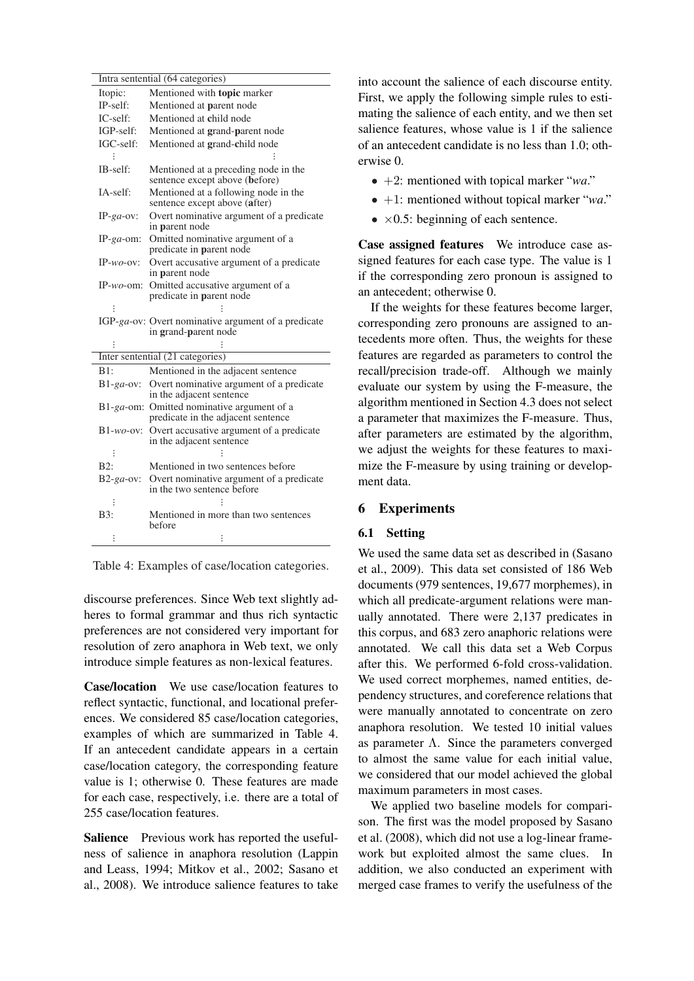|               | Intra sentential (64 categories)                                                 |  |  |  |  |
|---------------|----------------------------------------------------------------------------------|--|--|--|--|
| Itopic:       | Mentioned with topic marker                                                      |  |  |  |  |
| IP-self:      | Mentioned at parent node                                                         |  |  |  |  |
| IC-self:      | Mentioned at child node                                                          |  |  |  |  |
| IGP-self:     | Mentioned at grand-parent node                                                   |  |  |  |  |
| IGC-self:     | Mentioned at grand-child node                                                    |  |  |  |  |
|               |                                                                                  |  |  |  |  |
| IB-self:      | Mentioned at a preceding node in the<br>sentence except above (before)           |  |  |  |  |
| IA-self:      | Mentioned at a following node in the<br>sentence except above (after)            |  |  |  |  |
| $IP-ga$ -ov:  | Overt nominative argument of a predicate<br>in parent node                       |  |  |  |  |
| IP- $ga$ -om: | Omitted nominative argument of a<br>predicate in parent node                     |  |  |  |  |
| $IP-wo-ov$ :  | Overt accusative argument of a predicate<br>in parent node                       |  |  |  |  |
| $IP-wo$ -om:  | Omitted accusative argument of a<br>predicate in parent node                     |  |  |  |  |
|               |                                                                                  |  |  |  |  |
|               | IGP-ga-ov: Overt nominative argument of a predicate<br>in grand-parent node      |  |  |  |  |
|               |                                                                                  |  |  |  |  |
|               | Inter sentential (21 categories)                                                 |  |  |  |  |
|               |                                                                                  |  |  |  |  |
| B1:           | Mentioned in the adjacent sentence                                               |  |  |  |  |
| $B1-ga$ -ov:  | Overt nominative argument of a predicate<br>in the adjacent sentence             |  |  |  |  |
|               | B1-ga-om: Omitted nominative argument of a<br>predicate in the adjacent sentence |  |  |  |  |
| $B1-wo$ -ov:  | Overt accusative argument of a predicate<br>in the adjacent sentence             |  |  |  |  |
|               |                                                                                  |  |  |  |  |
| B2:           | Mentioned in two sentences before                                                |  |  |  |  |
| $B2-ga-ov$ :  | Overt nominative argument of a predicate<br>in the two sentence before           |  |  |  |  |
|               |                                                                                  |  |  |  |  |
| B3:           | Mentioned in more than two sentences<br>before                                   |  |  |  |  |

Table 4: Examples of case/location categories.

discourse preferences. Since Web text slightly adheres to formal grammar and thus rich syntactic preferences are not considered very important for resolution of zero anaphora in Web text, we only introduce simple features as non-lexical features.

Case/location We use case/location features to reflect syntactic, functional, and locational preferences. We considered 85 case/location categories, examples of which are summarized in Table 4. If an antecedent candidate appears in a certain case/location category, the corresponding feature value is 1; otherwise 0. These features are made for each case, respectively, i.e. there are a total of 255 case/location features.

Salience Previous work has reported the usefulness of salience in anaphora resolution (Lappin and Leass, 1994; Mitkov et al., 2002; Sasano et al., 2008). We introduce salience features to take into account the salience of each discourse entity. First, we apply the following simple rules to estimating the salience of each entity, and we then set salience features, whose value is 1 if the salience of an antecedent candidate is no less than 1.0; otherwise 0.

- *•* +2: mentioned with topical marker "*wa*."
- *•* +1: mentioned without topical marker "*wa*."
- *• ×*0.5: beginning of each sentence.

Case assigned features We introduce case assigned features for each case type. The value is 1 if the corresponding zero pronoun is assigned to an antecedent; otherwise 0.

If the weights for these features become larger, corresponding zero pronouns are assigned to antecedents more often. Thus, the weights for these features are regarded as parameters to control the recall/precision trade-off. Although we mainly evaluate our system by using the F-measure, the algorithm mentioned in Section 4.3 does not select a parameter that maximizes the F-measure. Thus, after parameters are estimated by the algorithm, we adjust the weights for these features to maximize the F-measure by using training or development data.

## 6 Experiments

# 6.1 Setting

We used the same data set as described in (Sasano et al., 2009). This data set consisted of 186 Web documents (979 sentences, 19,677 morphemes), in which all predicate-argument relations were manually annotated. There were 2,137 predicates in this corpus, and 683 zero anaphoric relations were annotated. We call this data set a Web Corpus after this. We performed 6-fold cross-validation. We used correct morphemes, named entities, dependency structures, and coreference relations that were manually annotated to concentrate on zero anaphora resolution. We tested 10 initial values as parameter  $\Lambda$ . Since the parameters converged to almost the same value for each initial value, we considered that our model achieved the global maximum parameters in most cases.

We applied two baseline models for comparison. The first was the model proposed by Sasano et al. (2008), which did not use a log-linear framework but exploited almost the same clues. In addition, we also conducted an experiment with merged case frames to verify the usefulness of the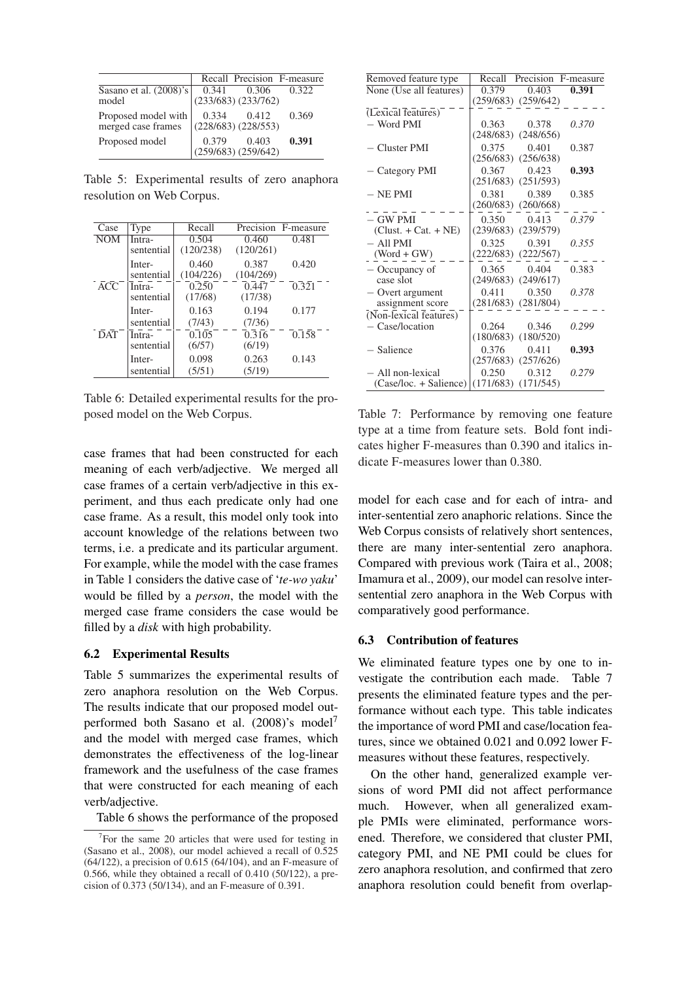|                                                                 |       |                                        | Recall Precision F-measure |
|-----------------------------------------------------------------|-------|----------------------------------------|----------------------------|
| Sasano et al. (2008)'s 0.341 0.306<br>model (233/683) (233/762) |       |                                        | 0.322                      |
| Proposed model with<br>merged case frames                       | 0.334 | 0.412<br>$(228/683)$ $(228/553)$       | 0.369                      |
| Proposed model                                                  |       | $0.379$ $0.403$<br>(259/683) (259/642) | 0.391                      |

Table 5: Experimental results of zero anaphora resolution on Web Corpus.

| Case             | Type                 | Recall             |                    | Precision F-measure |
|------------------|----------------------|--------------------|--------------------|---------------------|
| <b>NOM</b>       | Intra-<br>sentential | 0.504<br>(120/238) | 0.460<br>(120/261) | 0.481               |
|                  | Inter-<br>sentential | 0.460<br>(104/226) | 0.387<br>(104/269) | 0.420               |
| $\overline{ACC}$ | Intra-<br>sentential | 0.250<br>(17/68)   | 0.447<br>(17/38)   | 0.321               |
|                  | Inter-<br>sentential | 0.163<br>(7/43)    | 0.194<br>(7/36)    | 0.177               |
| <b>DAT</b>       | Intra-<br>sentential | 0.105<br>(6/57)    | 0.316<br>(6/19)    | 0.158               |
|                  | Inter-<br>sentential | 0.098<br>(5/51)    | 0.263<br>(5/19)    | 0.143               |

Table 6: Detailed experimental results for the proposed model on the Web Corpus.

case frames that had been constructed for each meaning of each verb/adjective. We merged all case frames of a certain verb/adjective in this experiment, and thus each predicate only had one case frame. As a result, this model only took into account knowledge of the relations between two terms, i.e. a predicate and its particular argument. For example, while the model with the case frames in Table 1 considers the dative case of '*te-wo yaku*' would be filled by a *person*, the model with the merged case frame considers the case would be filled by a *disk* with high probability.

## 6.2 Experimental Results

Table 5 summarizes the experimental results of zero anaphora resolution on the Web Corpus. The results indicate that our proposed model outperformed both Sasano et al. (2008)'s model<sup>7</sup> and the model with merged case frames, which demonstrates the effectiveness of the log-linear framework and the usefulness of the case frames that were constructed for each meaning of each verb/adjective.

Table 6 shows the performance of the proposed

| Removed feature type     | Recall Precision F-measure |  |
|--------------------------|----------------------------|--|
| None (Use all features)  | 0.379<br>0.403<br>0.391    |  |
|                          | $(259/683)$ $(259/642)$    |  |
| (Lexical features)       |                            |  |
| $-$ Word PMI             | 0.363<br>0.370<br>0.378    |  |
|                          | $(248/683)$ $(248/656)$    |  |
| $-$ Cluster PMI          | $0.375$ $0.401$<br>0.387   |  |
|                          | $(256/683)$ $(256/638)$    |  |
| - Category PMI           | $0.367$ $0.423$<br>0.393   |  |
|                          | $(251/683)$ $(251/593)$    |  |
| $-$ NE PMI               | 0.381 0.389<br>0.385       |  |
|                          | $(260/683)$ $(260/668)$    |  |
| $-$ GW PMI               | $0.350$ $0.413$<br>0.379   |  |
| $(Clust. + Cat. + NE)$   | $(239/683)$ $(239/579)$    |  |
| $-$ All PMI              | 0.325<br>0.391<br>0.355    |  |
| $(Word + GW)$            | $(222/683)$ $(222/567)$    |  |
| - Occupancy of           | 0.383<br>0.365 0.404       |  |
| case slot                | $(249/683)$ $(249/617)$    |  |
| - Overt argument         | 0.411<br>0.350<br>0.378    |  |
| assignment score         | $(281/683)$ $(281/804)$    |  |
| (Non-lexical features)   |                            |  |
| $-$ Case/location        | 0.264 0.346<br>0.299       |  |
|                          | $(180/683)$ $(180/520)$    |  |
| - Salience               | 0.376<br>0.411<br>0.393    |  |
|                          | $(257/683)$ $(257/626)$    |  |
| - All non-lexical        | 0.250<br>0.312<br>0.279    |  |
| $(Case/loc. + Salience)$ | $(171/683)$ $(171/545)$    |  |

Table 7: Performance by removing one feature type at a time from feature sets. Bold font indicates higher F-measures than 0.390 and italics indicate F-measures lower than 0.380.

model for each case and for each of intra- and inter-sentential zero anaphoric relations. Since the Web Corpus consists of relatively short sentences, there are many inter-sentential zero anaphora. Compared with previous work (Taira et al., 2008; Imamura et al., 2009), our model can resolve intersentential zero anaphora in the Web Corpus with comparatively good performance.

#### 6.3 Contribution of features

We eliminated feature types one by one to investigate the contribution each made. Table 7 presents the eliminated feature types and the performance without each type. This table indicates the importance of word PMI and case/location features, since we obtained 0.021 and 0.092 lower Fmeasures without these features, respectively.

On the other hand, generalized example versions of word PMI did not affect performance much. However, when all generalized example PMIs were eliminated, performance worsened. Therefore, we considered that cluster PMI, category PMI, and NE PMI could be clues for zero anaphora resolution, and confirmed that zero anaphora resolution could benefit from overlap-

<sup>&</sup>lt;sup>7</sup>For the same 20 articles that were used for testing in (Sasano et al., 2008), our model achieved a recall of 0.525 (64/122), a precision of 0.615 (64/104), and an F-measure of 0.566, while they obtained a recall of 0.410 (50/122), a precision of 0.373 (50/134), and an F-measure of 0.391.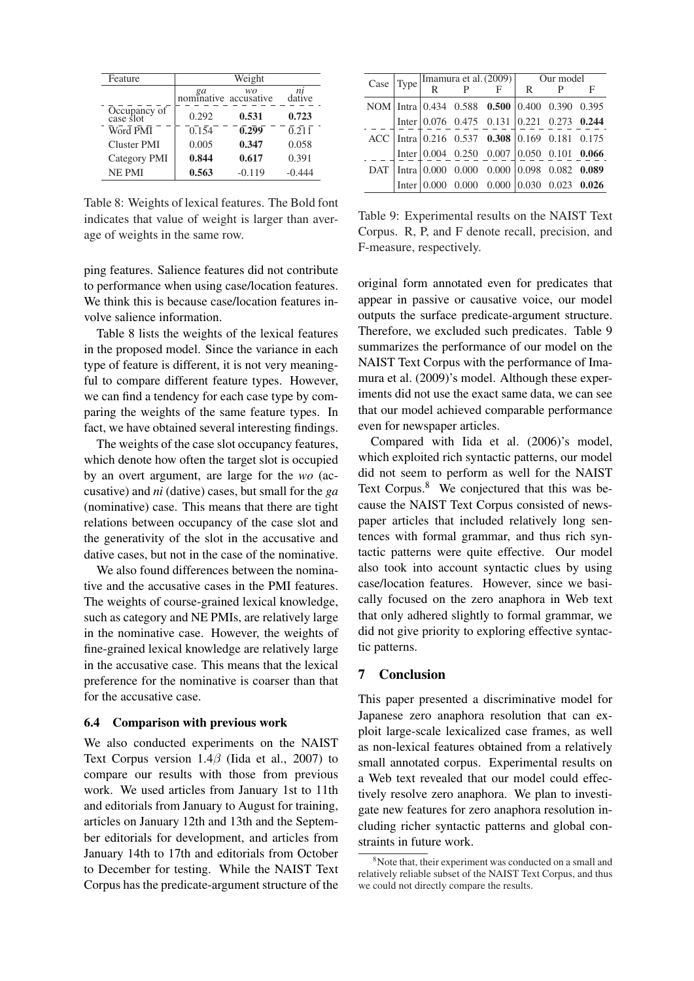| Feature                   | Weight                                |          |                    |  |  |
|---------------------------|---------------------------------------|----------|--------------------|--|--|
|                           | <i>ga wo</i><br>nominative accusative |          | dative             |  |  |
| Occupancy of<br>case slot | 0.292                                 | 0.531    | 0.723              |  |  |
| Word PMI                  | 0.154                                 | 0.299    | $\overline{0.211}$ |  |  |
| Cluster PMI               | 0.005                                 | 0.347    | 0.058              |  |  |
| Category PMI              | 0.844                                 | 0.617    | 0.391              |  |  |
| <b>NE PMI</b>             | 0.563                                 | $-0.119$ | -0.444             |  |  |

Table 8: Weights of lexical features. The Bold font indicates that value of weight is larger than average of weights in the same row.

ping features. Salience features did not contribute to performance when using case/location features. We think this is because case/location features involve salience information.

Table 8 lists the weights of the lexical features in the proposed model. Since the variance in each type of feature is different, it is not very meaningful to compare different feature types. However, we can find a tendency for each case type by comparing the weights of the same feature types. In fact, we have obtained several interesting findings.

The weights of the case slot occupancy features, which denote how often the target slot is occupied by an overt argument, are large for the *wo* (accusative) and *ni* (dative) cases, but small for the *ga* (nominative) case. This means that there are tight relations between occupancy of the case slot and the generativity of the slot in the accusative and dative cases, but not in the case of the nominative.

We also found differences between the nominative and the accusative cases in the PMI features. The weights of course-grained lexical knowledge, such as category and NE PMIs, are relatively large in the nominative case. However, the weights of fine-grained lexical knowledge are relatively large in the accusative case. This means that the lexical preference for the nominative is coarser than that for the accusative case.

### 6.4 Comparison with previous work

We also conducted experiments on the NAIST Text Corpus version 1.4*β* (Iida et al., 2007) to compare our results with those from previous work. We used articles from January 1st to 11th and editorials from January to August for training, articles on January 12th and 13th and the September editorials for development, and articles from January 14th to 17th and editorials from October to December for testing. While the NAIST Text Corpus has the predicate-argument structure of the

|  |  |  |  |  |  | F                                                                                                                                                                                                                                                                                                                                                                                                                                                                       |
|--|--|--|--|--|--|-------------------------------------------------------------------------------------------------------------------------------------------------------------------------------------------------------------------------------------------------------------------------------------------------------------------------------------------------------------------------------------------------------------------------------------------------------------------------|
|  |  |  |  |  |  |                                                                                                                                                                                                                                                                                                                                                                                                                                                                         |
|  |  |  |  |  |  |                                                                                                                                                                                                                                                                                                                                                                                                                                                                         |
|  |  |  |  |  |  |                                                                                                                                                                                                                                                                                                                                                                                                                                                                         |
|  |  |  |  |  |  |                                                                                                                                                                                                                                                                                                                                                                                                                                                                         |
|  |  |  |  |  |  |                                                                                                                                                                                                                                                                                                                                                                                                                                                                         |
|  |  |  |  |  |  |                                                                                                                                                                                                                                                                                                                                                                                                                                                                         |
|  |  |  |  |  |  | Case Type $\boxed{\frac{\text{Imamura et al.} (2009)}{R} \begin{array}{c c} \text{Our model} \\ \text{F} \end{array}}$<br>NOM   Intra   0.434 0.588 0.500   0.400 0.390 0.395<br>Inter 0.076 0.475 0.131 0.221 0.273 0.244<br>$ACC$   Intra   0.216 0.537 0.308   0.169 0.181 0.175<br>Inter $\begin{array}{ ccc } 0.004 & 0.250 & 0.007 & 0.050 & 0.101 & 0.066 \end{array}$<br>Intra 0.000 0.000 0.000 0.098 0.082 0.089<br>Inter 0.000 0.000 0.000 0.030 0.023 0.026 |

Table 9: Experimental results on the NAIST Text Corpus. R, P, and F denote recall, precision, and F-measure, respectively.

original form annotated even for predicates that appear in passive or causative voice, our model outputs the surface predicate-argument structure. Therefore, we excluded such predicates. Table 9 summarizes the performance of our model on the NAIST Text Corpus with the performance of Imamura et al. (2009)'s model. Although these experiments did not use the exact same data, we can see that our model achieved comparable performance even for newspaper articles.

Compared with Iida et al. (2006)'s model, which exploited rich syntactic patterns, our model did not seem to perform as well for the NAIST Text Corpus.<sup>8</sup> We conjectured that this was because the NAIST Text Corpus consisted of newspaper articles that included relatively long sentences with formal grammar, and thus rich syntactic patterns were quite effective. Our model also took into account syntactic clues by using case/location features. However, since we basically focused on the zero anaphora in Web text that only adhered slightly to formal grammar, we did not give priority to exploring effective syntactic patterns.

#### 7 Conclusion

This paper presented a discriminative model for Japanese zero anaphora resolution that can exploit large-scale lexicalized case frames, as well as non-lexical features obtained from a relatively small annotated corpus. Experimental results on a Web text revealed that our model could effectively resolve zero anaphora. We plan to investigate new features for zero anaphora resolution including richer syntactic patterns and global constraints in future work.

 $8<sup>8</sup>$ Note that, their experiment was conducted on a small and relatively reliable subset of the NAIST Text Corpus, and thus we could not directly compare the results.